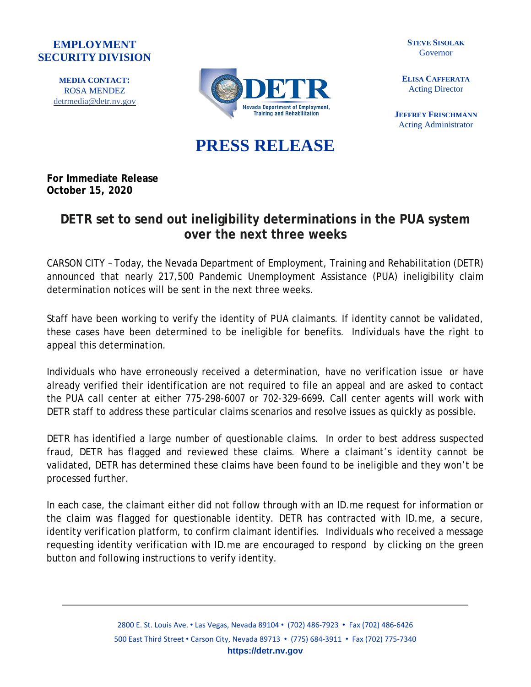## **EMPLOYMENT SECURITY DIVISION**

**MEDIA CONTACT:** ROSA MENDEZ [detrmedia@detr.nv.gov](mailto:detrmedia@detr.nv.gov)



**STEVE SISOLAK** Governor

**ELISA CAFFERATA** Acting Director

**JEFFREY FRISCHMANN** Acting Administrator

## **PRESS RELEASE**

**For Immediate Release October 15, 2020**

## **DETR set to send out ineligibility determinations in the PUA system over the next three weeks**

CARSON CITY – Today, the Nevada Department of Employment, Training and Rehabilitation (DETR) announced that nearly 217,500 Pandemic Unemployment Assistance (PUA) ineligibility claim determination notices will be sent in the next three weeks.

Staff have been working to verify the identity of PUA claimants. If identity cannot be validated, these cases have been determined to be ineligible for benefits. Individuals have the right to appeal this determination.

Individuals who have erroneously received a determination, have no verification issue or have already verified their identification are not required to file an appeal and are asked to contact the PUA call center at either 775-298-6007 or 702-329-6699. Call center agents will work with DETR staff to address these particular claims scenarios and resolve issues as quickly as possible.

DETR has identified a large number of questionable claims. In order to best address suspected fraud, DETR has flagged and reviewed these claims. Where a claimant's identity cannot be validated, DETR has determined these claims have been found to be ineligible and they won't be processed further.

In each case, the claimant either did not follow through with an ID.me request for information or the claim was flagged for questionable identity. DETR has contracted with ID.me, a secure, identity verification platform, to confirm claimant identifies. Individuals who received a message requesting identity verification with ID.me are encouraged to respond by clicking on the green button and following instructions to verify identity.